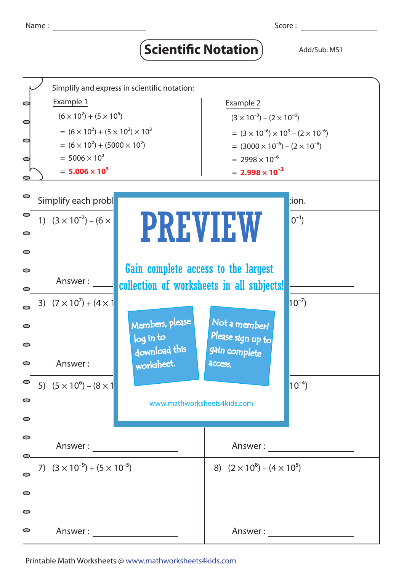## **Scientific Notation** Add/Sub: MS1



Printable Math Worksheets @ www.mathworksheets4kids.com